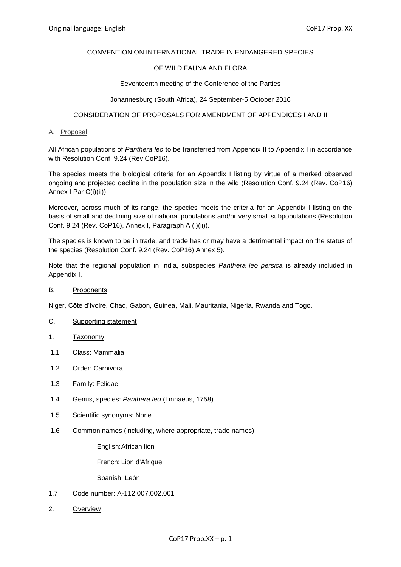## CONVENTION ON INTERNATIONAL TRADE IN ENDANGERED SPECIES

## OF WILD FAUNA AND FLORA

#### Seventeenth meeting of the Conference of the Parties

#### Johannesburg (South Africa), 24 September-5 October 2016

## CONSIDERATION OF PROPOSALS FOR AMENDMENT OF APPENDICES I AND II

#### A. Proposal

All African populations of *Panthera leo* to be transferred from Appendix II to Appendix I in accordance with Resolution Conf. 9.24 (Rev CoP16).

The species meets the biological criteria for an Appendix I listing by virtue of a marked observed ongoing and projected decline in the population size in the wild (Resolution Conf. 9.24 (Rev. CoP16) Annex I Par C(i)(ii)).

Moreover, across much of its range, the species meets the criteria for an Appendix I listing on the basis of small and declining size of national populations and/or very small subpopulations (Resolution Conf. 9.24 (Rev. CoP16), Annex I, Paragraph A (i)(ii)).

The species is known to be in trade, and trade has or may have a detrimental impact on the status of the species (Resolution Conf. 9.24 (Rev. CoP16) Annex 5).

Note that the regional population in India, subspecies *Panthera leo persica* is already included in Appendix I.

#### B. Proponents

Niger, Côte d'Ivoire, Chad, Gabon, Guinea, Mali, Mauritania, Nigeria, Rwanda and Togo.

- C. Supporting statement
- 1. Taxonomy
- 1.1 Class: Mammalia
- 1.2 Order: Carnivora
- 1.3 Family: Felidae
- 1.4 Genus, species: *Panthera leo* (Linnaeus, 1758)
- 1.5 Scientific synonyms: None
- 1.6 Common names (including, where appropriate, trade names):

English:African lion

French: Lion d'Afrique

Spanish: León

- 1.7 Code number: A-112.007.002.001
- 2. Overview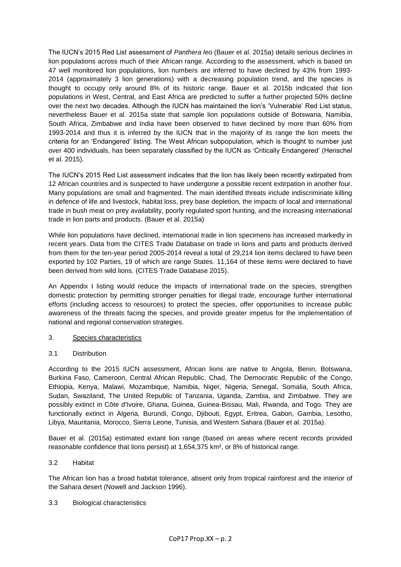The IUCN's 2015 Red List assessment of *Panthera leo* (Bauer et al. 2015a) details serious declines in lion populations across much of their African range. According to the assessment, which is based on 47 well monitored lion populations, lion numbers are inferred to have declined by 43% from 1993- 2014 (approximately 3 lion generations) with a decreasing population trend, and the species is thought to occupy only around 8% of its historic range. Bauer et al. 2015b indicated that lion populations in West, Central, and East Africa are predicted to suffer a further projected 50% decline over the next two decades. Although the IUCN has maintained the lion's 'Vulnerable' Red List status, nevertheless Bauer et al. 2015a state that sample lion populations outside of Botswana, Namibia, South Africa, Zimbabwe and India have been observed to have declined by more than 60% from 1993-2014 and thus it is inferred by the IUCN that in the majority of its range the lion meets the criteria for an 'Endangered' listing. The West African subpopulation, which is thought to number just over 400 individuals, has been separately classified by the IUCN as 'Critically Endangered' (Henschel et al. 2015).

The IUCN's 2015 Red List assessment indicates that the lion has likely been recently extirpated from 12 African countries and is suspected to have undergone a possible recent extirpation in another four. Many populations are small and fragmented. The main identified threats include indiscriminate killing in defence of life and livestock, habitat loss, prey base depletion, the impacts of local and international trade in bush meat on prey availability, poorly regulated sport hunting, and the increasing international trade in lion parts and products. (Bauer et al. 2015a)

While lion populations have declined, international trade in lion specimens has increased markedly in recent years. Data from the CITES Trade Database on trade in lions and parts and products derived from them for the ten-year period 2005-2014 reveal a total of 29,214 lion items declared to have been exported by 102 Parties, 19 of which are range States. 11,164 of these items were declared to have been derived from wild lions. (CITES Trade Database 2015).

An Appendix I listing would reduce the impacts of international trade on the species, strengthen domestic protection by permitting stronger penalties for illegal trade, encourage further international efforts (including access to resources) to protect the species, offer opportunities to increase public awareness of the threats facing the species, and provide greater impetus for the implementation of national and regional conservation strategies.

- 3. Species characteristics
- 3.1 Distribution

According to the 2015 IUCN assessment, African lions are native to Angola, Benin, Botswana, Burkina Faso, Cameroon, Central African Republic, Chad, The Democratic Republic of the Congo, Ethiopia, Kenya, Malawi, Mozambique, Namibia, Niger, Nigeria, Senegal, Somalia, South Africa, Sudan, Swaziland, The United Republic of Tanzania, Uganda, Zambia, and Zimbabwe. They are possibly extinct in Côte d'Ivoire, Ghana, Guinea, Guinea-Bissau, Mali, Rwanda, and Togo. They are functionally extinct in Algeria, Burundi, Congo, Djibouti, Egypt, Eritrea, Gabon, Gambia, Lesotho, Libya, Mauritania, Morocco, Sierra Leone, Tunisia, and Western Sahara (Bauer et al. 2015a).

Bauer et al. (2015a) estimated extant lion range (based on areas where recent records provided reasonable confidence that lions persist) at 1,654,375 km², or 8% of historical range.

3.2 Habitat

The African lion has a broad habitat tolerance, absent only from tropical rainforest and the interior of the Sahara desert (Nowell and Jackson 1996).

## 3.3 Biological characteristics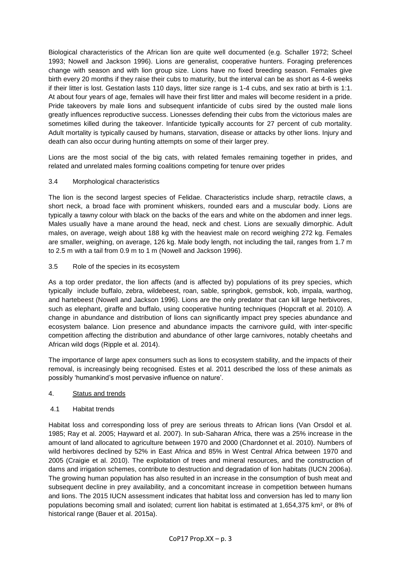Biological characteristics of the African lion are quite well documented (e.g. Schaller 1972; Scheel 1993; Nowell and Jackson 1996). Lions are generalist, cooperative hunters. Foraging preferences change with season and with lion group size. Lions have no fixed breeding season. Females give birth every 20 months if they raise their cubs to maturity, but the interval can be as short as 4-6 weeks if their litter is lost. Gestation lasts 110 days, litter size range is 1-4 cubs, and sex ratio at birth is 1:1. At about four years of age, females will have their first litter and males will become resident in a pride. Pride takeovers by male lions and subsequent infanticide of cubs sired by the ousted male lions greatly influences reproductive success. Lionesses defending their cubs from the victorious males are sometimes killed during the takeover. Infanticide typically accounts for 27 percent of cub mortality. Adult mortality is typically caused by humans, starvation, disease or attacks by other lions. Injury and death can also occur during hunting attempts on some of their larger prey.

Lions are the most social of the big cats, with related females remaining together in prides, and related and unrelated males forming coalitions competing for tenure over prides

## 3.4 Morphological characteristics

The lion is the second largest species of Felidae. Characteristics include sharp, retractile claws, a short neck, a broad face with prominent whiskers, rounded ears and a muscular body. Lions are typically a tawny colour with black on the backs of the ears and white on the abdomen and inner legs. Males usually have a mane around the head, neck and chest. Lions are sexually dimorphic. Adult males, on average, weigh about 188 kg with the heaviest male on record weighing 272 kg. Females are smaller, weighing, on average, 126 kg. Male body length, not including the tail, ranges from 1.7 m to 2.5 m with a tail from 0.9 m to 1 m (Nowell and Jackson 1996).

## 3.5 Role of the species in its ecosystem

As a top order predator, the lion affects (and is affected by) populations of its prey species, which typically include buffalo, zebra, wildebeest, roan, sable, springbok, gemsbok, kob, impala, warthog, and hartebeest (Nowell and Jackson 1996). Lions are the only predator that can kill large herbivores, such as elephant, giraffe and buffalo, using cooperative hunting techniques (Hopcraft et al. 2010). A change in abundance and distribution of lions can significantly impact prey species abundance and ecosystem balance. Lion presence and abundance impacts the carnivore guild, with inter-specific competition affecting the distribution and abundance of other large carnivores, notably cheetahs and African wild dogs (Ripple et al. 2014).

The importance of large apex consumers such as lions to ecosystem stability, and the impacts of their removal, is increasingly being recognised. Estes et al. 2011 described the loss of these animals as possibly 'humankind's most pervasive influence on nature'.

## 4. Status and trends

## 4.1 Habitat trends

Habitat loss and corresponding loss of prey are serious threats to African lions (Van Orsdol et al. 1985; Ray et al. 2005; Hayward et al. 2007). In sub-Saharan Africa, there was a 25% increase in the amount of land allocated to agriculture between 1970 and 2000 (Chardonnet et al. 2010). Numbers of wild herbivores declined by 52% in East Africa and 85% in West Central Africa between 1970 and 2005 (Craigie et al. 2010). The exploitation of trees and mineral resources, and the construction of dams and irrigation schemes, contribute to destruction and degradation of lion habitats (IUCN 2006a). The growing human population has also resulted in an increase in the consumption of bush meat and subsequent decline in prey availability, and a concomitant increase in competition between humans and lions. The 2015 IUCN assessment indicates that habitat loss and conversion has led to many lion populations becoming small and isolated; current lion habitat is estimated at 1,654,375 km², or 8% of historical range (Bauer et al. 2015a).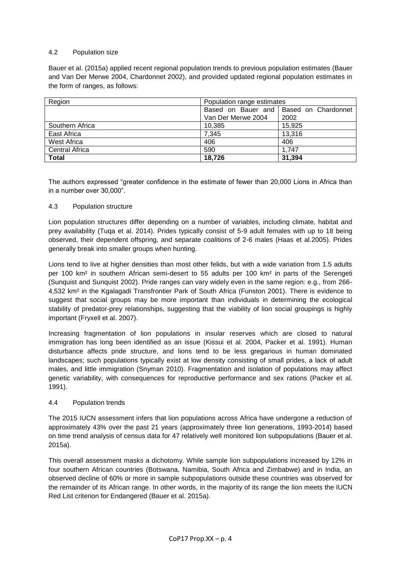## 4.2 Population size

Bauer et al. (2015a) applied recent regional population trends to previous population estimates (Bauer and Van Der Merwe 2004, Chardonnet 2002), and provided updated regional population estimates in the form of ranges, as follows:

| Region                | Population range estimates |                                          |  |  |  |  |  |  |  |  |
|-----------------------|----------------------------|------------------------------------------|--|--|--|--|--|--|--|--|
|                       |                            | Based on Bauer and   Based on Chardonnet |  |  |  |  |  |  |  |  |
|                       | Van Der Merwe 2004         | 2002                                     |  |  |  |  |  |  |  |  |
| Southern Africa       | 10.385                     | 15,925                                   |  |  |  |  |  |  |  |  |
| East Africa           | 7,345                      | 13,316                                   |  |  |  |  |  |  |  |  |
| West Africa           | 406                        | 406                                      |  |  |  |  |  |  |  |  |
| <b>Central Africa</b> | 590                        | 1,747                                    |  |  |  |  |  |  |  |  |
| <b>Total</b>          | 18,726                     | 31,394                                   |  |  |  |  |  |  |  |  |

The authors expressed "greater confidence in the estimate of fewer than 20,000 Lions in Africa than in a number over 30,000".

## 4.3 Population structure

Lion population structures differ depending on a number of variables, including climate, habitat and prey availability (Tuqa et al. 2014). Prides typically consist of 5-9 adult females with up to 18 being observed, their dependent offspring, and separate coalitions of 2-6 males (Haas et al.2005). Prides generally break into smaller groups when hunting.

Lions tend to live at higher densities than most other felids, but with a wide variation from 1.5 adults per 100 km² in southern African semi-desert to 55 adults per 100 km² in parts of the Serengeti (Sunquist and Sunquist 2002). Pride ranges can vary widely even in the same region: e.g., from 266- 4,532 km² in the Kgalagadi Transfrontier Park of South Africa (Funston 2001). There is evidence to suggest that social groups may be more important than individuals in determining the ecological stability of predator-prey relationships, suggesting that the viability of lion social groupings is highly important (Fryxell et al. 2007).

Increasing fragmentation of lion populations in insular reserves which are closed to natural immigration has long been identified as an issue (Kissui et al. 2004, Packer et al. 1991). Human disturbance affects pride structure, and lions tend to be less gregarious in human dominated landscapes; such populations typically exist at low density consisting of small prides, a lack of adult males, and little immigration (Snyman 2010). Fragmentation and isolation of populations may affect genetic variability, with consequences for reproductive performance and sex rations (Packer et al. 1991).

## 4.4 Population trends

The 2015 IUCN assessment infers that lion populations across Africa have undergone a reduction of approximately 43% over the past 21 years (approximately three lion generations, 1993-2014) based on time trend analysis of census data for 47 relatively well monitored lion subpopulations (Bauer et al. 2015a).

This overall assessment masks a dichotomy. While sample lion subpopulations increased by 12% in four southern African countries (Botswana, Namibia, South Africa and Zimbabwe) and in India, an observed decline of 60% or more in sample subpopulations outside these countries was observed for the remainder of its African range. In other words, in the majority of its range the lion meets the IUCN Red List criterion for Endangered (Bauer et al. 2015a).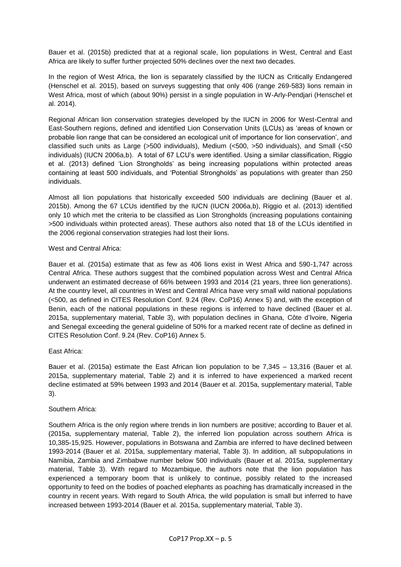Bauer et al. (2015b) predicted that at a regional scale, lion populations in West, Central and East Africa are likely to suffer further projected 50% declines over the next two decades.

In the region of West Africa, the lion is separately classified by the IUCN as Critically Endangered (Henschel et al. 2015), based on surveys suggesting that only 406 (range 269-583) lions remain in West Africa, most of which (about 90%) persist in a single population in W-Arly-Pendjari (Henschel et al. 2014).

Regional African lion conservation strategies developed by the IUCN in 2006 for West-Central and East-Southern regions, defined and identified Lion Conservation Units (LCUs) as 'areas of known or probable lion range that can be considered an ecological unit of importance for lion conservation', and classified such units as Large (>500 individuals), Medium (<500, >50 individuals), and Small (<50 individuals) (IUCN 2006a,b). A total of 67 LCU's were identified. Using a similar classification, Riggio et al. (2013) defined 'Lion Strongholds' as being increasing populations within protected areas containing at least 500 individuals, and 'Potential Strongholds' as populations with greater than 250 individuals.

Almost all lion populations that historically exceeded 500 individuals are declining (Bauer et al. 2015b). Among the 67 LCUs identified by the IUCN (IUCN 2006a,b), Riggio et al. (2013) identified only 10 which met the criteria to be classified as Lion Strongholds (increasing populations containing >500 individuals within protected areas). These authors also noted that 18 of the LCUs identified in the 2006 regional conservation strategies had lost their lions.

#### West and Central Africa:

Bauer et al. (2015a) estimate that as few as 406 lions exist in West Africa and 590-1,747 across Central Africa. These authors suggest that the combined population across West and Central Africa underwent an estimated decrease of 66% between 1993 and 2014 (21 years, three lion generations). At the country level, all countries in West and Central Africa have very small wild national populations (<500, as defined in CITES Resolution Conf. 9.24 (Rev. CoP16) Annex 5) and, with the exception of Benin, each of the national populations in these regions is inferred to have declined (Bauer et al. 2015a, supplementary material, Table 3), with population declines in Ghana, Côte d'Ivoire, Nigeria and Senegal exceeding the general guideline of 50% for a marked recent rate of decline as defined in CITES Resolution Conf. 9.24 (Rev. CoP16) Annex 5.

## East Africa:

Bauer et al. (2015a) estimate the East African lion population to be 7,345 – 13,316 (Bauer et al. 2015a, supplementary material, Table 2) and it is inferred to have experienced a marked recent decline estimated at 59% between 1993 and 2014 (Bauer et al. 2015a, supplementary material, Table 3).

## Southern Africa:

Southern Africa is the only region where trends in lion numbers are positive; according to Bauer et al. (2015a, supplementary material, Table 2), the inferred lion population across southern Africa is 10,385-15,925. However, populations in Botswana and Zambia are inferred to have declined between 1993-2014 (Bauer et al. 2015a, supplementary material, Table 3). In addition, all subpopulations in Namibia, Zambia and Zimbabwe number below 500 individuals (Bauer et al. 2015a, supplementary material, Table 3). With regard to Mozambique, the authors note that the lion population has experienced a temporary boom that is unlikely to continue, possibly related to the increased opportunity to feed on the bodies of poached elephants as poaching has dramatically increased in the country in recent years. With regard to South Africa, the wild population is small but inferred to have increased between 1993-2014 (Bauer et al. 2015a, supplementary material, Table 3).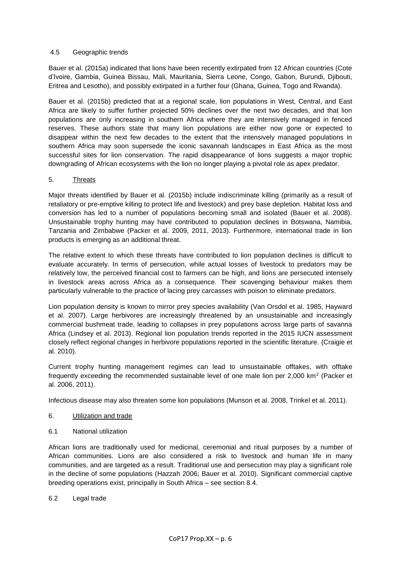## 4.5 Geographic trends

Bauer et al. (2015a) indicated that lions have been recently extirpated from 12 African countries (Cote d'Ivoire, Gambia, Guinea Bissau, Mali, Mauritania, Sierra Leone, Congo, Gabon, Burundi, Djibouti, Eritrea and Lesotho), and possibly extirpated in a further four (Ghana, Guinea, Togo and Rwanda).

Bauer et al. (2015b) predicted that at a regional scale, lion populations in West, Central, and East Africa are likely to suffer further projected 50% declines over the next two decades, and that lion populations are only increasing in southern Africa where they are intensively managed in fenced reserves. These authors state that many lion populations are either now gone or expected to disappear within the next few decades to the extent that the intensively managed populations in southern Africa may soon supersede the iconic savannah landscapes in East Africa as the most successful sites for lion conservation. The rapid disappearance of lions suggests a major trophic downgrading of African ecosystems with the lion no longer playing a pivotal role as apex predator.

## 5. Threats

Major threats identified by Bauer et al. (2015b) include indiscriminate killing (primarily as a result of retaliatory or pre-emptive killing to protect life and livestock) and prey base depletion. Habitat loss and conversion has led to a number of populations becoming small and isolated (Bauer et al. 2008). Unsustainable trophy hunting may have contributed to population declines in Botswana, Namibia, Tanzania and Zimbabwe (Packer et al. 2009, 2011, 2013). Furthermore, international trade in lion products is emerging as an additional threat.

The relative extent to which these threats have contributed to lion population declines is difficult to evaluate accurately. In terms of persecution, while actual losses of livestock to predators may be relatively low, the perceived financial cost to farmers can be high, and lions are persecuted intensely in livestock areas across Africa as a consequence. Their scavenging behaviour makes them particularly vulnerable to the practice of lacing prey carcasses with poison to eliminate predators.

Lion population density is known to mirror prey species availability (Van Orsdol et al. 1985, Hayward et al. 2007). Large herbivores are increasingly threatened by an unsustainable and increasingly commercial bushmeat trade, leading to collapses in prey populations across large parts of savanna Africa (Lindsey et al. 2013). Regional lion population trends reported in the 2015 IUCN assessment closely reflect regional changes in herbivore populations reported in the scientific literature. (Craigie et al. 2010).

Current trophy hunting management regimes can lead to unsustainable offtakes, with offtake frequently exceeding the recommended sustainable level of one male lion per 2,000 km<sup>2</sup> (Packer et al. 2006, 2011).

Infectious disease may also threaten some lion populations (Munson et al. 2008, Trinkel et al. 2011).

- 6. Utilization and trade
- 6.1 National utilization

African lions are traditionally used for medicinal, ceremonial and ritual purposes by a number of African communities. Lions are also considered a risk to livestock and human life in many communities, and are targeted as a result. Traditional use and persecution may play a significant role in the decline of some populations (Hazzah 2006; Bauer et al. 2010). Significant commercial captive breeding operations exist, principally in South Africa – see section 8.4.

6.2 Legal trade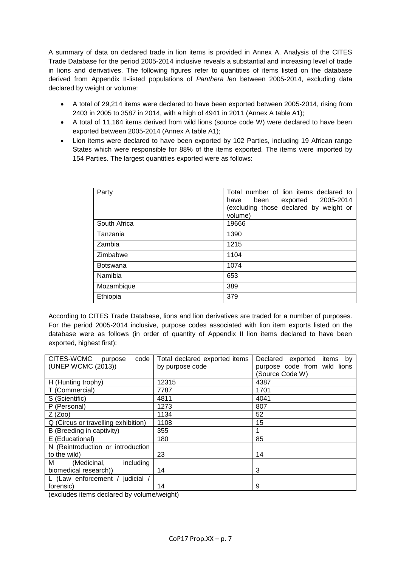A summary of data on declared trade in lion items is provided in Annex A. Analysis of the CITES Trade Database for the period 2005-2014 inclusive reveals a substantial and increasing level of trade in lions and derivatives. The following figures refer to quantities of items listed on the database derived from Appendix II-listed populations of *Panthera leo* between 2005-2014, excluding data declared by weight or volume:

- A total of 29,214 items were declared to have been exported between 2005-2014, rising from 2403 in 2005 to 3587 in 2014, with a high of 4941 in 2011 (Annex A table A1);
- A total of 11,164 items derived from wild lions (source code W) were declared to have been exported between 2005-2014 (Annex A table A1);
- Lion items were declared to have been exported by 102 Parties, including 19 African range States which were responsible for 88% of the items exported. The items were imported by 154 Parties. The largest quantities exported were as follows:

| Party           | Total number of lion items declared to<br>exported 2005-2014<br>been<br>have<br>(excluding those declared by weight or<br>volume) |
|-----------------|-----------------------------------------------------------------------------------------------------------------------------------|
| South Africa    | 19666                                                                                                                             |
| Tanzania        | 1390                                                                                                                              |
| Zambia          | 1215                                                                                                                              |
| Zimbabwe        | 1104                                                                                                                              |
| <b>Botswana</b> | 1074                                                                                                                              |
| Namibia         | 653                                                                                                                               |
| Mozambique      | 389                                                                                                                               |
| Ethiopia        | 379                                                                                                                               |

According to CITES Trade Database, lions and lion derivatives are traded for a number of purposes. For the period 2005-2014 inclusive, purpose codes associated with lion item exports listed on the database were as follows (in order of quantity of Appendix II lion items declared to have been exported, highest first):

| CITES-WCMC<br>code<br>purpose       | Total declared exported items | Declared<br>exported<br>items<br>by |
|-------------------------------------|-------------------------------|-------------------------------------|
| (UNEP WCMC (2013))                  | by purpose code               | purpose code from wild lions        |
|                                     |                               | (Source Code W)                     |
| H (Hunting trophy)                  | 12315                         | 4387                                |
| T (Commercial)                      | 7787                          | 1701                                |
| S (Scientific)                      | 4811                          | 4041                                |
| P (Personal)                        | 1273                          | 807                                 |
| $Z$ (Zoo)                           | 1134                          | 52                                  |
| Q (Circus or travelling exhibition) | 1108                          | 15                                  |
| B (Breeding in captivity)           | 355                           |                                     |
| E (Educational)                     | 180                           | 85                                  |
| N (Reintroduction or introduction   |                               |                                     |
| to the wild)                        | 23                            | 14                                  |
| м<br>(Medicinal,<br>including       |                               |                                     |
| biomedical research))               | 14                            | 3                                   |
| L (Law enforcement /<br>judicial /  |                               |                                     |
| forensic)                           | 14                            | 9                                   |

(excludes items declared by volume/weight)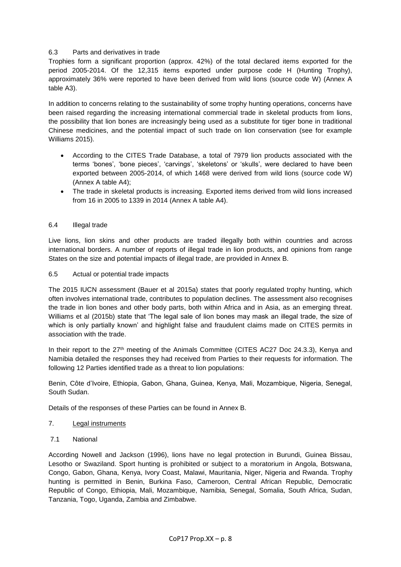## 6.3 Parts and derivatives in trade

Trophies form a significant proportion (approx. 42%) of the total declared items exported for the period 2005-2014. Of the 12,315 items exported under purpose code H (Hunting Trophy), approximately 36% were reported to have been derived from wild lions (source code W) (Annex A table A3).

In addition to concerns relating to the sustainability of some trophy hunting operations, concerns have been raised regarding the increasing international commercial trade in skeletal products from lions, the possibility that lion bones are increasingly being used as a substitute for tiger bone in traditional Chinese medicines, and the potential impact of such trade on lion conservation (see for example Williams 2015).

- According to the CITES Trade Database, a total of 7979 lion products associated with the terms 'bones', 'bone pieces', 'carvings', 'skeletons' or 'skulls', were declared to have been exported between 2005-2014, of which 1468 were derived from wild lions (source code W) (Annex A table A4);
- The trade in skeletal products is increasing. Exported items derived from wild lions increased from 16 in 2005 to 1339 in 2014 (Annex A table A4).

## 6.4 Illegal trade

Live lions, lion skins and other products are traded illegally both within countries and across international borders. A number of reports of illegal trade in lion products, and opinions from range States on the size and potential impacts of illegal trade, are provided in Annex B.

#### 6.5 Actual or potential trade impacts

The 2015 IUCN assessment (Bauer et al 2015a) states that poorly regulated trophy hunting, which often involves international trade, contributes to population declines. The assessment also recognises the trade in lion bones and other body parts, both within Africa and in Asia, as an emerging threat. Williams et al (2015b) state that 'The legal sale of lion bones may mask an illegal trade, the size of which is only partially known' and highlight false and fraudulent claims made on CITES permits in association with the trade.

In their report to the 27<sup>th</sup> meeting of the Animals Committee (CITES AC27 Doc 24.3.3), Kenya and Namibia detailed the responses they had received from Parties to their requests for information. The following 12 Parties identified trade as a threat to lion populations:

Benin, Côte d'Ivoire, Ethiopia, Gabon, Ghana, Guinea, Kenya, Mali, Mozambique, Nigeria, Senegal, South Sudan.

Details of the responses of these Parties can be found in Annex B.

## 7. Legal instruments

7.1 National

According Nowell and Jackson (1996), lions have no legal protection in Burundi, Guinea Bissau, Lesotho or Swaziland. Sport hunting is prohibited or subject to a moratorium in Angola, Botswana, Congo, Gabon, Ghana, Kenya, Ivory Coast, Malawi, Mauritania, Niger, Nigeria and Rwanda. Trophy hunting is permitted in Benin, Burkina Faso, Cameroon, Central African Republic, Democratic Republic of Congo, Ethiopia, Mali, Mozambique, Namibia, Senegal, Somalia, South Africa, Sudan, Tanzania, Togo, Uganda, Zambia and Zimbabwe.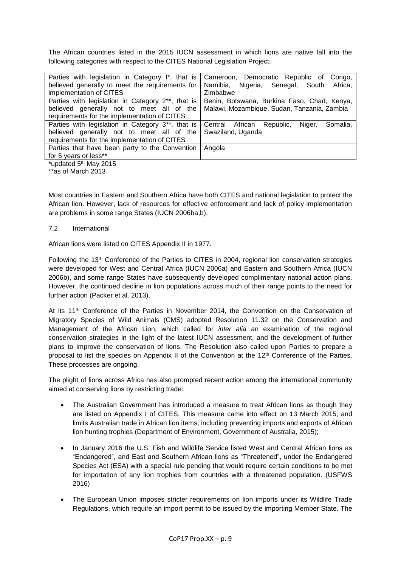The African countries listed in the 2015 IUCN assessment in which lions are native fall into the following categories with respect to the CITES National Legislation Project:

| Parties with legislation in Category I*, that is               | Cameroon, Democratic Republic of<br>Congo,         |
|----------------------------------------------------------------|----------------------------------------------------|
| believed generally to meet the requirements for                | Namibia,<br>Nigeria, Senegal,<br>Africa,<br>South  |
| implementation of CITES                                        | Zimbabwe                                           |
| Parties with legislation in Category 2**, that is              | Benin, Botswana, Burkina Faso, Chad, Kenya,        |
| believed generally not to meet all of the                      | Malawi, Mozambique, Sudan, Tanzania, Zambia        |
| requirements for the implementation of CITES                   |                                                    |
| Parties with legislation in Category 3 <sup>**</sup> , that is | Central African<br>Republic,<br>Somalia,<br>Niger, |
| believed generally not to meet all of the                      | Swaziland, Uganda                                  |
| requirements for the implementation of CITES                   |                                                    |
| Parties that have been party to the Convention                 | Angola                                             |
| for 5 years or less**                                          |                                                    |
| *updated 5 <sup>th</sup> May 2015                              |                                                    |
|                                                                |                                                    |

\*\*as of March 2013

Most countries in Eastern and Southern Africa have both CITES and national legislation to protect the African lion. However, lack of resources for effective enforcement and lack of policy implementation are problems in some range States (IUCN 2006ba,b).

## 7.2 International

African lions were listed on CITES Appendix II in 1977.

Following the 13th Conference of the Parties to CITES in 2004, regional lion conservation strategies were developed for West and Central Africa (IUCN 2006a) and Eastern and Southern Africa (IUCN 2006b), and some range States have subsequently developed complimentary national action plans. However, the continued decline in lion populations across much of their range points to the need for further action (Packer et al. 2013).

At its 11th Conference of the Parties in November 2014, the Convention on the Conservation of Migratory Species of Wild Animals (CMS) adopted Resolution 11.32 on the Conservation and Management of the African Lion, which called for *inter alia* an examination of the regional conservation strategies in the light of the latest IUCN assessment, and the development of further plans to improve the conservation of lions. The Resolution also called upon Parties to prepare a proposal to list the species on Appendix II of the Convention at the 12<sup>th</sup> Conference of the Parties. These processes are ongoing.

The plight of lions across Africa has also prompted recent action among the international community aimed at conserving lions by restricting trade:

- The Australian Government has introduced a measure to treat African lions as though they are listed on Appendix I of CITES. This measure came into effect on 13 March 2015, and limits Australian trade in African lion items, including preventing imports and exports of African lion hunting trophies (Department of Environment, Government of Australia, 2015);
- In January 2016 the U.S. Fish and Wildlife Service listed West and Central African lions as "Endangered", and East and Southern African lions as "Threatened", under the Endangered Species Act (ESA) with a special rule pending that would require certain conditions to be met for importation of any lion trophies from countries with a threatened population. (USFWS 2016)
- The European Union imposes stricter requirements on lion imports under its Wildlife Trade Regulations, which require an import permit to be issued by the importing Member State. The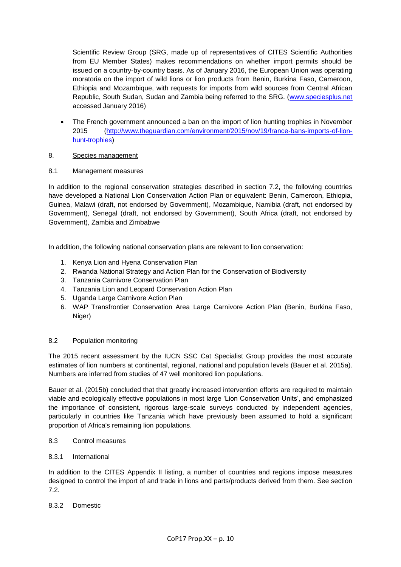Scientific Review Group (SRG, made up of representatives of CITES Scientific Authorities from EU Member States) makes recommendations on whether import permits should be issued on a country-by-country basis. As of January 2016, the European Union was operating moratoria on the import of wild lions or lion products from Benin, Burkina Faso, Cameroon, Ethiopia and Mozambique, with requests for imports from wild sources from Central African Republic, South Sudan, Sudan and Zambia being referred to the SRG. [\(www.speciesplus.net](http://www.speciesplus.net/) accessed January 2016)

• The French government announced a ban on the import of lion hunting trophies in November 2015 [\(http://www.theguardian.com/environment/2015/nov/19/france-bans-imports-of-lion](http://www.theguardian.com/environment/2015/nov/19/france-bans-imports-of-lion-hunt-trophies)[hunt-trophies\)](http://www.theguardian.com/environment/2015/nov/19/france-bans-imports-of-lion-hunt-trophies)

## 8. Species management

## 8.1 Management measures

In addition to the regional conservation strategies described in section 7.2, the following countries have developed a National Lion Conservation Action Plan or equivalent: Benin, Cameroon, Ethiopia, Guinea, Malawi (draft, not endorsed by Government), Mozambique, Namibia (draft, not endorsed by Government), Senegal (draft, not endorsed by Government), South Africa (draft, not endorsed by Government), Zambia and Zimbabwe

In addition, the following national conservation plans are relevant to lion conservation:

- 1. Kenya Lion and Hyena Conservation Plan
- 2. Rwanda National Strategy and Action Plan for the Conservation of Biodiversity
- 3. Tanzania Carnivore Conservation Plan
- 4. Tanzania Lion and Leopard Conservation Action Plan
- 5. Uganda Large Carnivore Action Plan
- 6. WAP Transfrontier Conservation Area Large Carnivore Action Plan (Benin, Burkina Faso, Niger)

## 8.2 Population monitoring

The 2015 recent assessment by the IUCN SSC Cat Specialist Group provides the most accurate estimates of lion numbers at continental, regional, national and population levels (Bauer et al. 2015a). Numbers are inferred from studies of 47 well monitored lion populations.

Bauer et al. (2015b) concluded that that greatly increased intervention efforts are required to maintain viable and ecologically effective populations in most large 'Lion Conservation Units', and emphasized the importance of consistent, rigorous large-scale surveys conducted by independent agencies, particularly in countries like Tanzania which have previously been assumed to hold a significant proportion of Africa's remaining lion populations.

## 8.3 Control measures

8.3.1 International

In addition to the CITES Appendix II listing, a number of countries and regions impose measures designed to control the import of and trade in lions and parts/products derived from them. See section 7.2.

# 8.3.2 Domestic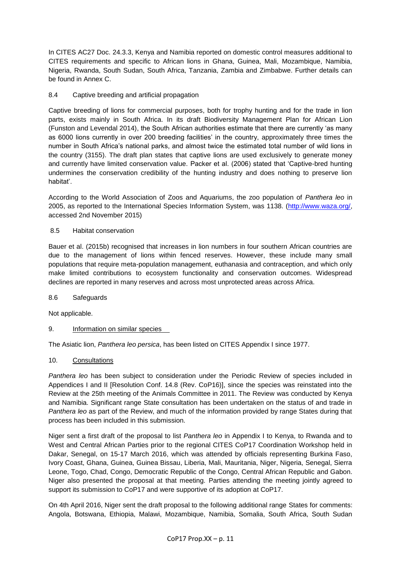In CITES AC27 Doc. 24.3.3, Kenya and Namibia reported on domestic control measures additional to CITES requirements and specific to African lions in Ghana, Guinea, Mali, Mozambique, Namibia, Nigeria, Rwanda, South Sudan, South Africa, Tanzania, Zambia and Zimbabwe. Further details can be found in Annex C.

## 8.4 Captive breeding and artificial propagation

Captive breeding of lions for commercial purposes, both for trophy hunting and for the trade in lion parts, exists mainly in South Africa. In its draft Biodiversity Management Plan for African Lion (Funston and Levendal 2014), the South African authorities estimate that there are currently 'as many as 6000 lions currently in over 200 breeding facilities' in the country, approximately three times the number in South Africa's national parks, and almost twice the estimated total number of wild lions in the country (3155). The draft plan states that captive lions are used exclusively to generate money and currently have limited conservation value. Packer et al. (2006) stated that 'Captive-bred hunting undermines the conservation credibility of the hunting industry and does nothing to preserve lion habitat'.

According to the World Association of Zoos and Aquariums, the zoo population of *Panthera leo* in 2005, as reported to the International Species Information System, was 1138. [\(http://www.waza.org/,](http://www.waza.org/) accessed 2nd November 2015)

## 8.5 Habitat conservation

Bauer et al. (2015b) recognised that increases in lion numbers in four southern African countries are due to the management of lions within fenced reserves. However, these include many small populations that require meta-population management, euthanasia and contraception, and which only make limited contributions to ecosystem functionality and conservation outcomes. Widespread declines are reported in many reserves and across most unprotected areas across Africa.

## 8.6 Safeguards

Not applicable.

## 9. Information on similar species

The Asiatic lion, *Panthera leo persica*, has been listed on CITES Appendix I since 1977.

## 10. Consultations

*Panthera leo* has been subject to consideration under the Periodic Review of species included in Appendices I and II [Resolution Conf. 14.8 (Rev. CoP16)], since the species was reinstated into the Review at the 25th meeting of the Animals Committee in 2011. The Review was conducted by Kenya and Namibia. Significant range State consultation has been undertaken on the status of and trade in *Panthera leo* as part of the Review, and much of the information provided by range States during that process has been included in this submission.

Niger sent a first draft of the proposal to list *Panthera leo* in Appendix I to Kenya, to Rwanda and to West and Central African Parties prior to the regional CITES CoP17 Coordination Workshop held in Dakar, Senegal, on 15-17 March 2016, which was attended by officials representing Burkina Faso, Ivory Coast, Ghana, Guinea, Guinea Bissau, Liberia, Mali, Mauritania, Niger, Nigeria, Senegal, Sierra Leone, Togo, Chad, Congo, Democratic Republic of the Congo, Central African Republic and Gabon. Niger also presented the proposal at that meeting. Parties attending the meeting jointly agreed to support its submission to CoP17 and were supportive of its adoption at CoP17.

On 4th April 2016, Niger sent the draft proposal to the following additional range States for comments: Angola, Botswana, Ethiopia, Malawi, Mozambique, Namibia, Somalia, South Africa, South Sudan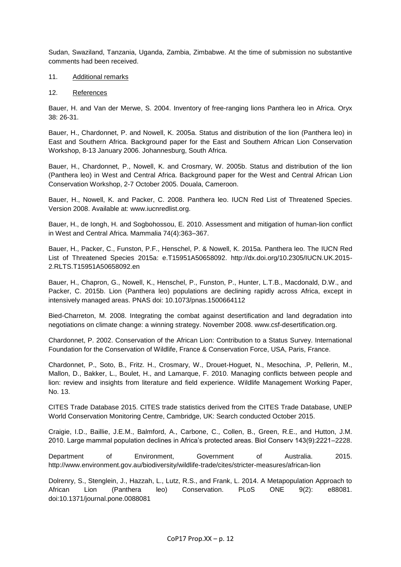Sudan, Swaziland, Tanzania, Uganda, Zambia, Zimbabwe. At the time of submission no substantive comments had been received.

#### 11. Additional remarks

#### 12. References

Bauer, H. and Van der Merwe, S. 2004. Inventory of free-ranging lions Panthera leo in Africa. Oryx 38: 26-31.

Bauer, H., Chardonnet, P. and Nowell, K. 2005a. Status and distribution of the lion (Panthera leo) in East and Southern Africa. Background paper for the East and Southern African Lion Conservation Workshop, 8-13 January 2006. Johannesburg, South Africa.

Bauer, H., Chardonnet, P., Nowell, K. and Crosmary, W. 2005b. Status and distribution of the lion (Panthera leo) in West and Central Africa. Background paper for the West and Central African Lion Conservation Workshop, 2-7 October 2005. Douala, Cameroon.

Bauer, H., Nowell, K. and Packer, C. 2008. Panthera leo. IUCN Red List of Threatened Species. Version 2008. Available at: www.iucnredlist.org.

Bauer, H., de Iongh, H. and Sogbohossou, E. 2010. Assessment and mitigation of human-lion conflict in West and Central Africa. Mammalia 74(4):363–367.

Bauer, H., Packer, C., Funston, P.F., Henschel, P. & Nowell, K. 2015a. Panthera leo. The IUCN Red List of Threatened Species 2015a: e.T15951A50658092. http://dx.doi.org/10.2305/IUCN.UK.2015- 2.RLTS.T15951A50658092.en

Bauer, H., Chapron, G., Nowell, K., Henschel, P., Funston, P., Hunter, L.T.B., Macdonald, D.W., and Packer, C. 2015b. Lion (Panthera leo) populations are declining rapidly across Africa, except in intensively managed areas. PNAS doi: 10.1073/pnas.1500664112

Bied-Charreton, M. 2008. Integrating the combat against desertification and land degradation into negotiations on climate change: a winning strategy. November 2008. www.csf-desertification.org.

Chardonnet, P. 2002. Conservation of the African Lion: Contribution to a Status Survey. International Foundation for the Conservation of Wildlife, France & Conservation Force, USA, Paris, France.

Chardonnet, P., Soto, B., Fritz. H., Crosmary, W., Drouet-Hoguet, N., Mesochina, .P, Pellerin, M., Mallon, D., Bakker, L., Boulet, H., and Lamarque, F. 2010. Managing conflicts between people and lion: review and insights from literature and field experience. Wildlife Management Working Paper, No. 13.

CITES Trade Database 2015. CITES trade statistics derived from the CITES Trade Database, UNEP World Conservation Monitoring Centre, Cambridge, UK: Search conducted October 2015.

Craigie, I.D., Baillie, J.E.M., Balmford, A., Carbone, C., Collen, B., Green, R.E., and Hutton, J.M. 2010. Large mammal population declines in Africa's protected areas. Biol Conserv 143(9):2221–2228.

Department of Environment, Government of Australia. 2015. http://www.environment.gov.au/biodiversity/wildlife-trade/cites/stricter-measures/african-lion

Dolrenry, S., Stenglein, J., Hazzah, L., Lutz, R.S., and Frank, L. 2014. A Metapopulation Approach to African Lion (Panthera leo) Conservation. PLoS ONE 9(2): e88081. doi:10.1371/journal.pone.0088081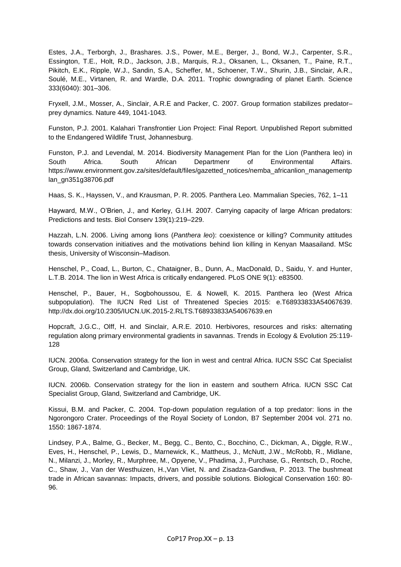Estes, J.A., Terborgh, J., Brashares. J.S., Power, M.E., Berger, J., Bond, W.J., Carpenter, S.R., Essington, T.E., Holt, R.D., Jackson, J.B., Marquis, R.J., Oksanen, L., Oksanen, T., Paine, R.T., Pikitch, E.K., Ripple, W.J., Sandin, S.A., Scheffer, M., Schoener, T.W., Shurin, J.B., Sinclair, A.R., Soulé, M.E., Virtanen, R. and Wardle, D.A. 2011. Trophic downgrading of planet Earth. Science 333(6040): 301–306.

Fryxell, J.M., Mosser, A., Sinclair, A.R.E and Packer, C. 2007. Group formation stabilizes predator– prey dynamics. Nature 449, 1041-1043.

Funston, P.J. 2001. Kalahari Transfrontier Lion Project: Final Report. Unpublished Report submitted to the Endangered Wildlife Trust, Johannesburg.

Funston, P.J. and Levendal, M. 2014. Biodiversity Management Plan for the Lion (Panthera leo) in South Africa. South African Departmenr of Environmental Affairs. https://www.environment.gov.za/sites/default/files/gazetted\_notices/nemba\_africanlion\_managementp lan\_gn351g38706.pdf

Haas, S. K., Hayssen, V., and Krausman, P. R. 2005. Panthera Leo. Mammalian Species, 762, 1–11

Hayward, M.W., O'Brien, J., and Kerley, G.I.H. 2007. Carrying capacity of large African predators: Predictions and tests. Biol Conserv 139(1):219–229.

Hazzah, L.N. 2006. Living among lions (*Panthera leo*): coexistence or killing? Community attitudes towards conservation initiatives and the motivations behind lion killing in Kenyan Maasailand. MSc thesis, University of Wisconsin–Madison.

Henschel, P., Coad, L., Burton, C., Chataigner, B., Dunn, A., MacDonald, D., Saidu, Y. and Hunter, L.T.B. 2014. The lion in West Africa is critically endangered. PLoS ONE 9(1): e83500.

Henschel, P., Bauer, H., Sogbohoussou, E. & Nowell, K. 2015. Panthera leo (West Africa subpopulation). The IUCN Red List of Threatened Species 2015: e.T68933833A54067639. http://dx.doi.org/10.2305/IUCN.UK.2015-2.RLTS.T68933833A54067639.en

Hopcraft, J.G.C., Olff, H. and Sinclair, A.R.E. 2010. Herbivores, resources and risks: alternating regulation along primary environmental gradients in savannas. Trends in Ecology & Evolution 25:119- 128

IUCN. 2006a. Conservation strategy for the lion in west and central Africa. IUCN SSC Cat Specialist Group, Gland, Switzerland and Cambridge, UK.

IUCN. 2006b. Conservation strategy for the lion in eastern and southern Africa. IUCN SSC Cat Specialist Group, Gland, Switzerland and Cambridge, UK.

Kissui, B.M. and Packer, C. 2004. Top-down population regulation of a top predator: lions in the Ngorongoro Crater. Proceedings of the Royal Society of London, B7 September 2004 vol. 271 no. 1550: 1867-1874.

Lindsey, P.A., Balme, G., Becker, M., Begg, C., Bento, C., Bocchino, C., Dickman, A., Diggle, R.W., Eves, H., Henschel, P., Lewis, D., Marnewick, K., Mattheus, J., McNutt, J.W., McRobb, R., Midlane, N., Milanzi, J., Morley, R., Murphree, M., Opyene, V., Phadima, J., Purchase, G., Rentsch, D., Roche, C., Shaw, J., Van der Westhuizen, H.,Van Vliet, N. and Zisadza-Gandiwa, P. 2013. The bushmeat trade in African savannas: Impacts, drivers, and possible solutions. Biological Conservation 160: 80- 96.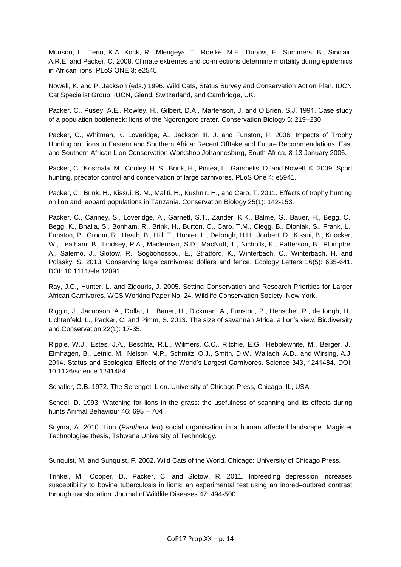Munson, L., Terio, K.A. Kock, R., Mlengeya, T., Roelke, M.E., Dubovi, E., Summers, B., Sinclair, A.R.E. and Packer, C. 2008. Climate extremes and co-infections determine mortality during epidemics in African lions. PLoS ONE 3: e2545.

Nowell, K. and P. Jackson (eds.) 1996. Wild Cats, Status Survey and Conservation Action Plan. IUCN Cat Specialist Group. IUCN, Gland, Switzerland, and Cambridge, UK.

Packer, C., Pusey, A.E., Rowley, H., Gilbert, D.A., Martenson, J. and O'Brien, S.J. 1991. Case study of a population bottleneck: lions of the Ngorongoro crater. Conservation Biology 5: 219–230.

Packer, C., Whitman, K. Loveridge, A., Jackson III, J. and Funston, P. 2006. Impacts of Trophy Hunting on Lions in Eastern and Southern Africa: Recent Offtake and Future Recommendations. East and Southern African Lion Conservation Workshop Johannesburg, South Africa, 8-13 January 2006.

Packer, C., Kosmala, M., Cooley, H. S., Brink, H., Pintea, L., Garshelis, D. and Nowell, K. 2009. Sport hunting, predator control and conservation of large carnivores. PLoS One 4: e5941.

Packer, C., Brink, H., Kissui, B. M., Maliti, H., Kushnir, H., and Caro, T. 2011. Effects of trophy hunting on lion and leopard populations in Tanzania. Conservation Biology 25(1): 142-153.

Packer, C., Canney, S., Loveridge, A., Garnett, S.T., Zander, K.K., Balme, G., Bauer, H., Begg, C., Begg, K., Bhalla, S., Bonham, R., Brink, H., Burton, C., Caro, T.M., Clegg, B., Dloniak, S., Frank, L., Funston, P., Groom, R., Heath, B., Hill, T., Hunter, L., DeIongh, H.H., Joubert, D., Kissui, B., Knocker, W., Leatham, B., Lindsey, P.A., Maclennan, S.D., MacNutt, T., Nicholls, K., Patterson, B., Plumptre, A., Salerno, J., Slotow, R., Sogbohossou, E., Stratford, K., Winterbach, C., Winterbach, H. and Polasky, S. 2013. Conserving large carnivores: dollars and fence. Ecology Letters 16(5): 635-641. DOI: 10.1111/ele.12091.

Ray, J.C., Hunter, L. and Zigouris, J. 2005. Setting Conservation and Research Priorities for Larger African Carnivores. WCS Working Paper No. 24. Wildlife Conservation Society, New York.

Riggio, J., Jacobson, A., Dollar, L., Bauer, H., Dickman, A., Funston, P., Henschel, P., de Iongh, H., Lichtenfeld, L., Packer, C. and Pimm, S. 2013. The size of savannah Africa: a lion's view. Biodiversity and Conservation 22(1): 17-35.

Ripple, W.J., Estes, J.A., Beschta, R.L., Wilmers, C.C., Ritchie, E.G., Hebblewhite, M., Berger, J., Elmhagen, B., Letnic, M., Nelson, M.P., Schmitz, O.J., Smith, D.W., Wallach, A.D., and Wirsing, A.J. 2014. Status and Ecological Effects of the World's Largest Carnivores. Science 343, 1241484. DOI: 10.1126/science.1241484

Schaller, G.B. 1972. The Serengeti Lion. University of Chicago Press, Chicago, IL, USA.

Scheel, D. 1993. Watching for lions in the grass: the usefulness of scanning and its effects during hunts Animal Behaviour 46: 695 – 704

Snyma, A. 2010. Lion (*Panthera leo*) social organisation in a human affected landscape. Magister Technologiae thesis, Tshwane University of Technology.

Sunquist, M. and Sunquist, F. 2002. Wild Cats of the World. Chicago: University of Chicago Press.

Trinkel, M., Cooper, D., Packer, C. and Slotow, R. 2011. Inbreeding depression increases susceptibility to bovine tuberculosis in lions: an experimental test using an inbred–outbred contrast through translocation. Journal of Wildlife Diseases 47: 494-500.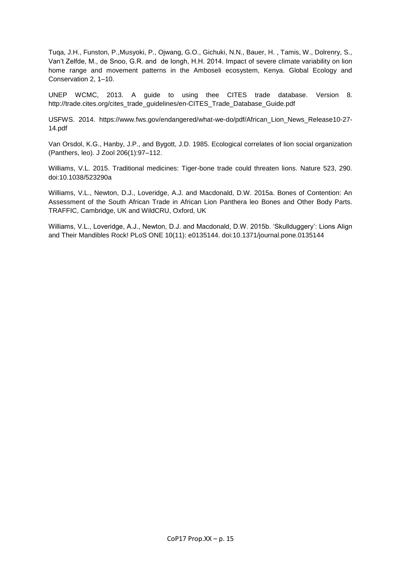Tuqa, J.H., Funston, P.,Musyoki, P., Ojwang, G.O., Gichuki, N.N., Bauer, H. , Tamis, W., Dolrenry, S., Van't Zelfde, M., de Snoo, G.R. and de Iongh, H.H. 2014. Impact of severe climate variability on lion home range and movement patterns in the Amboseli ecosystem, Kenya. Global Ecology and Conservation 2, 1–10.

UNEP WCMC, 2013. A guide to using thee CITES trade database. Version 8. http://trade.cites.org/cites\_trade\_guidelines/en-CITES\_Trade\_Database\_Guide.pdf

USFWS. 2014. https://www.fws.gov/endangered/what-we-do/pdf/African\_Lion\_News\_Release10-27- 14.pdf

Van Orsdol, K.G., Hanby, J.P., and Bygott, J.D. 1985. Ecological correlates of lion social organization (Panthers, leo). J Zool 206(1):97–112.

Williams, V.L. 2015. Traditional medicines: Tiger-bone trade could threaten lions. Nature 523, 290. doi:10.1038/523290a

Williams, V.L., Newton, D.J., Loveridge, A.J. and Macdonald, D.W. 2015a. Bones of Contention: An Assessment of the South African Trade in African Lion Panthera leo Bones and Other Body Parts. TRAFFIC, Cambridge, UK and WildCRU, Oxford, UK

Williams, V.L., Loveridge, A.J., Newton, D.J. and Macdonald, D.W. 2015b. 'Skullduggery': Lions Align and Their Mandibles Rock! PLoS ONE 10(11): e0135144. doi:10.1371/journal.pone.0135144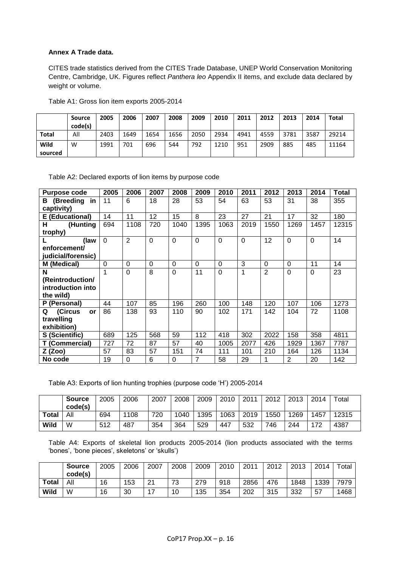# **Annex A Trade data.**

CITES trade statistics derived from the CITES Trade Database, UNEP World Conservation Monitoring Centre, Cambridge, UK. Figures reflect *Panthera leo* Appendix II items, and exclude data declared by weight or volume.

|                 | <b>Source</b><br>code(s) | 2005 | 2006 | 2007 | 2008 | 2009 | 2010 | 2011 | 2012 | 2013 | 2014 | Total |
|-----------------|--------------------------|------|------|------|------|------|------|------|------|------|------|-------|
| Total           | All                      | 2403 | 1649 | 1654 | 1656 | 2050 | 2934 | 4941 | 4559 | 3781 | 3587 | 29214 |
| Wild<br>sourced | W                        | 1991 | 701  | 696  | 544  | 792  | 1210 | 951  | 2909 | 885  | 485  | 11164 |

Table A1: Gross lion item exports 2005-2014

Table A2: Declared exports of lion items by purpose code

| <b>Purpose code</b>             | 2005     | 2006           | 2007           | 2008     | 2009     | 2010     | 2011     | 2012           | 2013           | 2014     | Total |
|---------------------------------|----------|----------------|----------------|----------|----------|----------|----------|----------------|----------------|----------|-------|
| (Breeding in<br>в<br>captivity) | 11       | 6              | 18             | 28       | 53       | 54       | 63       | 53             | 31             | 38       | 355   |
| E (Educational)                 | 14       | 11             | 12             | 15       | 8        | 23       | 27       | 21             | 17             | 32       | 180   |
| (Hunting<br>н                   | 694      | 1108           | 720            | 1040     | 1395     | 1063     | 2019     | 1550           | 1269           | 1457     | 12315 |
| trophy)                         |          |                |                |          |          |          |          |                |                |          |       |
| L<br>(law                       | $\Omega$ | $\overline{2}$ | $\overline{0}$ | $\Omega$ | $\Omega$ | $\Omega$ | $\Omega$ | 12             | $\Omega$       | $\Omega$ | 14    |
| enforcement/                    |          |                |                |          |          |          |          |                |                |          |       |
| judicial/forensic)              |          |                |                |          |          |          |          |                |                |          |       |
| M (Medical)                     | $\Omega$ | $\Omega$       | $\Omega$       | $\Omega$ | $\Omega$ | $\Omega$ | 3        | $\Omega$       | $\Omega$       | 11       | 14    |
| N                               | 1        | $\overline{0}$ | 8              | $\Omega$ | 11       | $\Omega$ | 1        | $\overline{2}$ | $\Omega$       | $\Omega$ | 23    |
| (Reintroduction/                |          |                |                |          |          |          |          |                |                |          |       |
| introduction into               |          |                |                |          |          |          |          |                |                |          |       |
| the wild)                       |          |                |                |          |          |          |          |                |                |          |       |
| P (Personal)                    | 44       | 107            | 85             | 196      | 260      | 100      | 148      | 120            | 107            | 106      | 1273  |
| Q<br>(Circus<br>or              | 86       | 138            | 93             | 110      | 90       | 102      | 171      | 142            | 104            | 72       | 1108  |
| travelling                      |          |                |                |          |          |          |          |                |                |          |       |
| exhibition)                     |          |                |                |          |          |          |          |                |                |          |       |
| S (Scientific)                  | 689      | 125            | 568            | 59       | 112      | 418      | 302      | 2022           | 158            | 358      | 4811  |
| T (Commercial)                  | 727      | 72             | 87             | 57       | 40       | 1005     | 2077     | 426            | 1929           | 1367     | 7787  |
| Z (Zoo)                         | 57       | 83             | 57             | 151      | 74       | 111      | 101      | 210            | 164            | 126      | 1134  |
| No code                         | 19       | $\Omega$       | 6              | 0        | 7        | 58       | 29       |                | $\overline{2}$ | 20       | 142   |

Table A3: Exports of lion hunting trophies (purpose code 'H') 2005-2014

|              | <b>Source</b><br>code(s) | 2005 | 2006 | 2007 | 2008 | 2009 | 2010 | 2011 | 2012 | 2013 | 2014 | $\tau$ otal |
|--------------|--------------------------|------|------|------|------|------|------|------|------|------|------|-------------|
| <b>Total</b> | All                      | 694  | 1108 | 720  | 1040 | 1395 | 1063 | 2019 | 1550 | 1269 | 1457 | 12315       |
| Wild         | W                        | 512  | 487  | 354  | 364  | 529  | 447  | 532  | 746  | 244  | 172  | 4387        |

Table A4: Exports of skeletal lion products 2005-2014 (lion products associated with the terms 'bones', 'bone pieces', skeletons' or 'skulls')

|              | <b>Source</b><br>code(s) | 2005 | 2006 | 2007 | 2008 | 2009 | 2010 | 2011 | 2012 | 2013 | 2014 | Totai |
|--------------|--------------------------|------|------|------|------|------|------|------|------|------|------|-------|
| <b>Total</b> | All                      | 16   | 153  | 21   | 73   | 279  | 918  | 2856 | 476  | 1848 | 1339 | 7979  |
| <b>Wild</b>  | W                        | 16   | 30   | –    | 10   | 135  | 354  | 202  | 315  | 332  | 57   | 1468  |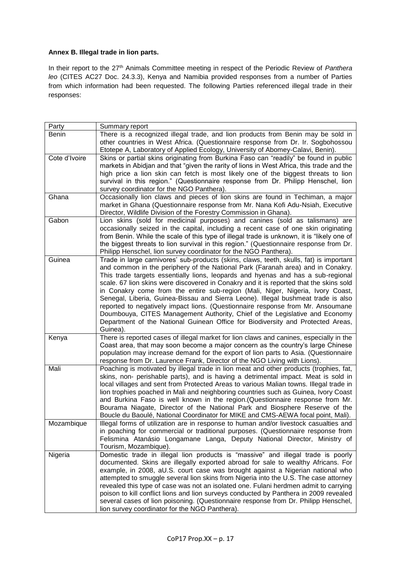# **Annex B. Illegal trade in lion parts.**

In their report to the 27<sup>th</sup> Animals Committee meeting in respect of the Periodic Review of Panthera *leo* (CITES AC27 Doc. 24.3.3), Kenya and Namibia provided responses from a number of Parties from which information had been requested. The following Parties referenced illegal trade in their responses:

| Party         | Summary report                                                                                                                                                                                                                                                                                                                                                                                                                                                                                                                                                                                                                                                                                                                                                                                   |
|---------------|--------------------------------------------------------------------------------------------------------------------------------------------------------------------------------------------------------------------------------------------------------------------------------------------------------------------------------------------------------------------------------------------------------------------------------------------------------------------------------------------------------------------------------------------------------------------------------------------------------------------------------------------------------------------------------------------------------------------------------------------------------------------------------------------------|
| Benin         | There is a recognized illegal trade, and lion products from Benin may be sold in<br>other countries in West Africa. (Questionnaire response from Dr. Ir. Sogbohossou<br>Etotepe A, Laboratory of Applied Ecology, University of Abomey-Calavi, Benin).                                                                                                                                                                                                                                                                                                                                                                                                                                                                                                                                           |
| Cote d'Ivoire | Skins or partial skins originating from Burkina Faso can "readily" be found in public<br>markets in Abidjan and that "given the rarity of lions in West Africa, this trade and the<br>high price a lion skin can fetch is most likely one of the biggest threats to lion<br>survival in this region." (Questionnaire response from Dr. Philipp Henschel, lion<br>survey coordinator for the NGO Panthera).                                                                                                                                                                                                                                                                                                                                                                                       |
| Ghana         | Occasionally lion claws and pieces of lion skins are found in Techiman, a major<br>market in Ghana (Questionnaire response from Mr. Nana Kofi Adu-Nsiah, Executive<br>Director, Wildlife Division of the Forestry Commission in Ghana).                                                                                                                                                                                                                                                                                                                                                                                                                                                                                                                                                          |
| Gabon         | Lion skins (sold for medicinal purposes) and canines (sold as talismans) are<br>occasionally seized in the capital, including a recent case of one skin originating<br>from Benin. While the scale of this type of illegal trade is unknown, it is "likely one of<br>the biggest threats to lion survival in this region." (Questionnaire response from Dr.<br>Philipp Henschel, lion survey coordinator for the NGO Panthera).                                                                                                                                                                                                                                                                                                                                                                  |
| Guinea        | Trade in large carnivores' sub-products (skins, claws, teeth, skulls, fat) is important<br>and common in the periphery of the National Park (Faranah area) and in Conakry.<br>This trade targets essentially lions, leopards and hyenas and has a sub-regional<br>scale. 67 lion skins were discovered in Conakry and it is reported that the skins sold<br>in Conakry come from the entire sub-region (Mali, Niger, Nigeria, Ivory Coast,<br>Senegal, Liberia, Guinea-Bissau and Sierra Leone). Illegal bushmeat trade is also<br>reported to negatively impact lions. (Questionnaire response from Mr. Ansoumane<br>Doumbouya, CITES Management Authority, Chief of the Legislative and Economy<br>Department of the National Guinean Office for Biodiversity and Protected Areas,<br>Guinea). |
| Kenya         | There is reported cases of illegal market for lion claws and canines, especially in the<br>Coast area, that may soon become a major concern as the country's large Chinese<br>population may increase demand for the export of lion parts to Asia. (Questionnaire<br>response from Dr. Laurence Frank, Director of the NGO Living with Lions).                                                                                                                                                                                                                                                                                                                                                                                                                                                   |
| Mali          | Poaching is motivated by illegal trade in lion meat and other products (trophies, fat,<br>skins, non- perishable parts), and is having a detrimental impact. Meat is sold in<br>local villages and sent from Protected Areas to various Malian towns. Illegal trade in<br>lion trophies poached in Mali and neighboring countries such as Guinea, Ivory Coast<br>and Burkina Faso is well known in the region. (Questionnaire response from Mr.<br>Bourama Niagate, Director of the National Park and Biosphere Reserve of the<br>Boucle du Baoulé, National Coordinator for MIKE and CMS-AEWA focal point, Mali).                                                                                                                                                                               |
| Mozambique    | Illegal forms of utilization are in response to human and/or livestock casualties and<br>in poaching for commercial or traditional purposes. (Questionnaire response from<br>Felismina Atanásio Longamane Langa, Deputy National Director, Ministry of<br>Tourism, Mozambique).                                                                                                                                                                                                                                                                                                                                                                                                                                                                                                                  |
| Nigeria       | Domestic trade in illegal lion products is "massive" and illegal trade is poorly<br>documented. Skins are illegally exported abroad for sale to wealthy Africans. For<br>example, in 2008, aU.S. court case was brought against a Nigerian national who<br>attempted to smuggle several lion skins from Nigeria into the U.S. The case attorney<br>revealed this type of case was not an isolated one. Fulani herdmen admit to carrying<br>poison to kill conflict lions and lion surveys conducted by Panthera in 2009 revealed<br>several cases of lion poisoning. (Questionnaire response from Dr. Philipp Henschel,<br>lion survey coordinator for the NGO Panthera).                                                                                                                        |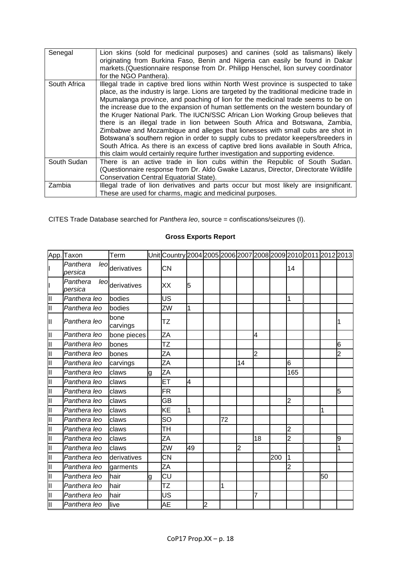| Senegal      | Lion skins (sold for medicinal purposes) and canines (sold as talismans) likely<br>originating from Burkina Faso, Benin and Nigeria can easily be found in Dakar<br>markets. (Questionnaire response from Dr. Philipp Henschel, lion survey coordinator<br>for the NGO Panthera).                                                                                                                                                                                                                                                                                                                                                                                                                                                                                                                                                                                                |
|--------------|----------------------------------------------------------------------------------------------------------------------------------------------------------------------------------------------------------------------------------------------------------------------------------------------------------------------------------------------------------------------------------------------------------------------------------------------------------------------------------------------------------------------------------------------------------------------------------------------------------------------------------------------------------------------------------------------------------------------------------------------------------------------------------------------------------------------------------------------------------------------------------|
| South Africa | Illegal trade in captive bred lions within North West province is suspected to take<br>place, as the industry is large. Lions are targeted by the traditional medicine trade in<br>Mpumalanga province, and poaching of lion for the medicinal trade seems to be on<br>the increase due to the expansion of human settlements on the western boundary of<br>the Kruger National Park. The IUCN/SSC African Lion Working Group believes that<br>there is an illegal trade in lion between South Africa and Botswana, Zambia,<br>Zimbabwe and Mozambique and alleges that lionesses with small cubs are shot in<br>Botswana's southern region in order to supply cubs to predator keepers/breeders in<br>South Africa. As there is an excess of captive bred lions available in South Africa,<br>this claim would certainly require further investigation and supporting evidence. |
| South Sudan  | There is an active trade in lion cubs within the Republic of South Sudan.<br>(Questionnaire response from Dr. Aldo Gwake Lazarus, Director, Directorate Wildlife<br>Conservation Central Equatorial State).                                                                                                                                                                                                                                                                                                                                                                                                                                                                                                                                                                                                                                                                      |
| Zambia       | Illegal trade of lion derivatives and parts occur but most likely are insignificant.<br>These are used for charms, magic and medicinal purposes.                                                                                                                                                                                                                                                                                                                                                                                                                                                                                                                                                                                                                                                                                                                                 |

CITES Trade Database searched for *Panthera leo*, source = confiscations/seizures (I).

|    | App. Taxon                  | Term             |   | Unit Country 2004 2005 2006 2007 2008 2009 2010 2011 2012 2013 |    |                |    |    |                |     |                |    |   |
|----|-----------------------------|------------------|---|----------------------------------------------------------------|----|----------------|----|----|----------------|-----|----------------|----|---|
|    | Panthera<br>leol<br>persica | derivatives      |   | <b>CN</b>                                                      |    |                |    |    |                |     | 14             |    |   |
|    | Panthera<br>leo<br>persica  | derivatives      |   | XX                                                             | 5  |                |    |    |                |     |                |    |   |
| Ш  | Panthera leo                | bodies           |   | US                                                             |    |                |    |    |                |     | 1              |    |   |
| Ш  | Panthera leo                | bodies           |   | ZW                                                             | 1  |                |    |    |                |     |                |    |   |
| Ш  | Panthera leo                | bone<br>carvings |   | TZ                                                             |    |                |    |    |                |     |                |    |   |
| Ш  | Panthera leo                | bone pieces      |   | ZA                                                             |    |                |    |    | 4              |     |                |    |   |
| lΠ | Panthera leo                | bones            |   | ΤZ                                                             |    |                |    |    |                |     |                |    | 6 |
| Ш  | Panthera leo                | bones            |   | ZA                                                             |    |                |    |    | $\overline{2}$ |     |                |    | 2 |
| Ш  | Panthera leo                | carvings         |   | ZA                                                             |    |                |    | 14 |                |     | 6              |    |   |
| Ш  | Panthera leo                | claws            | g | ZA                                                             |    |                |    |    |                |     | 165            |    |   |
| Ш  | Panthera leo                | claws            |   | ЕT                                                             | 4  |                |    |    |                |     |                |    |   |
| Ш  | Panthera leo                | claws            |   | <b>FR</b>                                                      |    |                |    |    |                |     |                |    | 5 |
| Ш  | Panthera leo                | claws            |   | GВ                                                             |    |                |    |    |                |     | $\overline{2}$ |    |   |
| Ш  | Panthera leo                | claws            |   | KE                                                             | 1  |                |    |    |                |     |                | 1  |   |
| Ш  | Panthera leo                | claws            |   | SO                                                             |    |                | 72 |    |                |     |                |    |   |
| Ш  | Panthera leo                | claws            |   | TH                                                             |    |                |    |    |                |     | $\overline{2}$ |    |   |
| Ш  | Panthera leo                | claws            |   | ZA                                                             |    |                |    |    | 18             |     | $\overline{2}$ |    | 9 |
| Ш  | Panthera leo                | claws            |   | ZW                                                             | 49 |                |    | 2  |                |     |                |    |   |
| Ш  | Panthera leo                | derivatives      |   | CN                                                             |    |                |    |    |                | 200 | 1              |    |   |
| Ш  | Panthera leo                | garments         |   | ΖA                                                             |    |                |    |    |                |     | $\overline{2}$ |    |   |
| Ш  | Panthera leo                | hair             | g | CU                                                             |    |                |    |    |                |     |                | 50 |   |
| Ш  | Panthera leo                | hair             |   | TZ                                                             |    |                | 1  |    |                |     |                |    |   |
| Ш  | Panthera leo                | hair             |   | US                                                             |    |                |    |    | 7              |     |                |    |   |
| Ш  | Panthera leo                | live             |   | AE                                                             |    | $\overline{c}$ |    |    |                |     |                |    |   |

# **Gross Exports Report**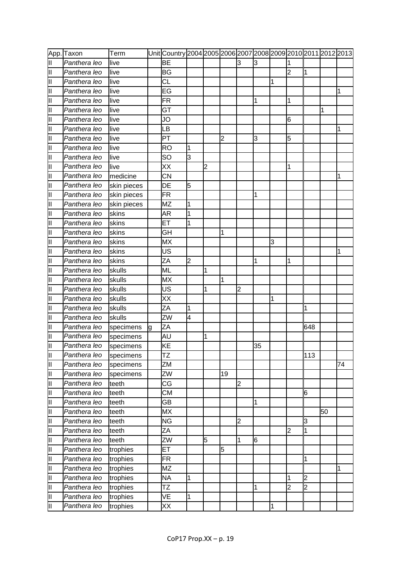|   | App. Taxon   | Term        |   | Unit <b> </b> Country 2004 2005 2006 2007 2008 2009 2010 2011 2012 2013 |                |   |                |                         |    |   |                |                |    |    |
|---|--------------|-------------|---|-------------------------------------------------------------------------|----------------|---|----------------|-------------------------|----|---|----------------|----------------|----|----|
| Ш | Panthera leo | live        |   | BЕ                                                                      |                |   |                | l3                      | 3  |   |                |                |    |    |
| Ш | Panthera leo | live        |   | <b>BG</b>                                                               |                |   |                |                         |    |   | $\overline{2}$ | 1              |    |    |
| Ш | Panthera leo | live        |   | CL                                                                      |                |   |                |                         |    | 1 |                |                |    |    |
| Ш | Panthera leo | live        |   | EG                                                                      |                |   |                |                         |    |   |                |                |    | 1  |
| Ш | Panthera leo | live        |   | FR                                                                      |                |   |                |                         | 1  |   | 1              |                |    |    |
| Ш | Panthera leo | live        |   | GT                                                                      |                |   |                |                         |    |   |                |                | 1  |    |
| Ш | Panthera leo | live        |   | JO                                                                      |                |   |                |                         |    |   | 6              |                |    |    |
| Ш | Panthera leo | live        |   | LВ                                                                      |                |   |                |                         |    |   |                |                |    |    |
| Ш | Panthera leo | live        |   | PT                                                                      |                |   | $\overline{2}$ |                         | 3  |   | 5              |                |    |    |
| Ш | Panthera leo | live        |   | <b>RO</b>                                                               | 1              |   |                |                         |    |   |                |                |    |    |
| Ш | Panthera leo | live        |   | SO                                                                      | $\overline{3}$ |   |                |                         |    |   |                |                |    |    |
| Ш | Panthera leo | live        |   | XX                                                                      |                | 2 |                |                         |    |   | 1              |                |    |    |
| Ш | Panthera leo | medicine    |   | CN                                                                      |                |   |                |                         |    |   |                |                |    | 1  |
| Ш | Panthera leo | skin pieces |   | DE                                                                      | 5              |   |                |                         |    |   |                |                |    |    |
| Ш | Panthera leo | skin pieces |   | <b>FR</b>                                                               |                |   |                |                         | 1  |   |                |                |    |    |
| Ш | Panthera leo | skin pieces |   | MZ                                                                      | 1              |   |                |                         |    |   |                |                |    |    |
| Ш | Panthera leo | skins       |   | AR                                                                      | 1              |   |                |                         |    |   |                |                |    |    |
| Ш | Panthera leo | skins       |   | ET                                                                      | 1              |   |                |                         |    |   |                |                |    |    |
| Ш | Panthera leo | skins       |   | GH                                                                      |                |   | 1              |                         |    |   |                |                |    |    |
| Ш | Panthera leo | skins       |   | MX                                                                      |                |   |                |                         |    | 3 |                |                |    |    |
| Ш | Panthera leo | skins       |   | US                                                                      |                |   |                |                         |    |   |                |                |    |    |
| Ш | Panthera leo | skins       |   | ZA                                                                      | $\overline{2}$ |   |                |                         | 1  |   | 1              |                |    |    |
| Ш | Panthera leo | skulls      |   | ML                                                                      |                | 1 |                |                         |    |   |                |                |    |    |
| Ш | Panthera leo | skulls      |   | MX                                                                      |                |   | 1              |                         |    |   |                |                |    |    |
| Ш | Panthera leo | skulls      |   | US                                                                      |                | 1 |                | $\overline{2}$          |    |   |                |                |    |    |
| Ш | Panthera leo | skulls      |   | XX                                                                      |                |   |                |                         |    | 1 |                |                |    |    |
| Ш | Panthera leo | skulls      |   | ΖA                                                                      | 1              |   |                |                         |    |   |                | 1              |    |    |
| Ш | Panthera leo | skulls      |   | ZW                                                                      | 4              |   |                |                         |    |   |                |                |    |    |
| Ш | Panthera leo | specimens   | g | ZA                                                                      |                |   |                |                         |    |   |                | 648            |    |    |
| Ш | Panthera leo | specimens   |   | AU                                                                      |                | 1 |                |                         |    |   |                |                |    |    |
| Ш | Panthera leo | specimens   |   | KE                                                                      |                |   |                |                         | 35 |   |                |                |    |    |
| Ш | Panthera leo | specimens   |   | ΤZ                                                                      |                |   |                |                         |    |   |                | 113            |    |    |
| Ш | Panthera leo | specimens   |   | ZΜ                                                                      |                |   |                |                         |    |   |                |                |    | 74 |
| Ш | Panthera leo | specimens   |   | ZW                                                                      |                |   | 19             |                         |    |   |                |                |    |    |
| Ш | Panthera leo | teeth       |   | СG                                                                      |                |   |                | $\overline{\mathbf{c}}$ |    |   |                |                |    |    |
| Ш | Panthera leo | teeth       |   | <b>CM</b>                                                               |                |   |                |                         |    |   |                | 6              |    |    |
| Ш | Panthera leo | teeth       |   | GВ                                                                      |                |   |                |                         | 1  |   |                |                |    |    |
| Ш | Panthera leo | teeth       |   | MX                                                                      |                |   |                |                         |    |   |                |                | 50 |    |
| Ш | Panthera leo | teeth       |   | <b>NG</b>                                                               |                |   |                | $\overline{2}$          |    |   |                | 3              |    |    |
| Ш | Panthera leo | teeth       |   | ZΑ                                                                      |                |   |                |                         |    |   | 2              | 1              |    |    |
| Ш | Panthera leo | teeth       |   | ZW                                                                      |                | 5 |                | 1                       | 6  |   |                |                |    |    |
| Ш | Panthera leo | trophies    |   | EТ                                                                      |                |   | 5              |                         |    |   |                |                |    |    |
| Ш | Panthera leo | trophies    |   | <b>FR</b>                                                               |                |   |                |                         |    |   |                | 1              |    |    |
| Ш | Panthera leo | trophies    |   | MΖ                                                                      |                |   |                |                         |    |   |                |                |    | 1  |
| Ш | Panthera leo | trophies    |   | <b>NA</b>                                                               | 1              |   |                |                         |    |   | 1              | $\overline{2}$ |    |    |
| Ш | Panthera leo | trophies    |   | <b>TZ</b>                                                               |                |   |                |                         | 1  |   | $\overline{2}$ | $\overline{c}$ |    |    |
| Ш | Panthera leo | trophies    |   | VE                                                                      | 1              |   |                |                         |    |   |                |                |    |    |
| П | Panthera leo | trophies    |   | XX                                                                      |                |   |                |                         |    | 1 |                |                |    |    |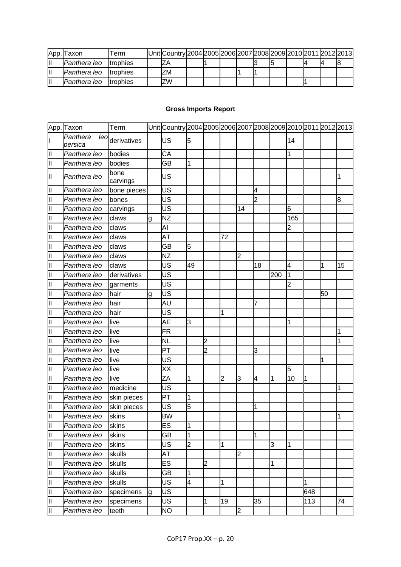|   | App. Taxon   | l erm            | UnitlCountry 2004 2005 2006 2007 2008 2009 2010 2011 2012 2013 |  |  |  |  |  |
|---|--------------|------------------|----------------------------------------------------------------|--|--|--|--|--|
|   | Panthera leo | Itrophies        |                                                                |  |  |  |  |  |
|   | Panthera leo | Itrophies        | ZM                                                             |  |  |  |  |  |
| Ш | Panthera leo | <b>Itrophies</b> | <b>ZW</b>                                                      |  |  |  |  |  |

## **Gross Imports Report**

|    | App. Taxon                 | Term             |   | Unit Country 2004 2005 2006 2007 2008 2009 2010 2011 2012 2013 |                |                |    |                |                |     |                |     |    |    |
|----|----------------------------|------------------|---|----------------------------------------------------------------|----------------|----------------|----|----------------|----------------|-----|----------------|-----|----|----|
|    | Panthera<br>leo<br>persica | derivatives      |   | US                                                             | 5              |                |    |                |                |     | 14             |     |    |    |
| Ш  | Panthera leo               | bodies           |   | CA                                                             |                |                |    |                |                |     | 1              |     |    |    |
| Ш  | Panthera leo               | bodies           |   | GB                                                             | 1              |                |    |                |                |     |                |     |    |    |
| Ш  | Panthera leo               | bone<br>carvings |   | US                                                             |                |                |    |                |                |     |                |     |    |    |
| Ш  | Panthera leo               | bone pieces      |   | US                                                             |                |                |    |                | 4              |     |                |     |    |    |
| Ш  | Panthera leo               | bones            |   | US                                                             |                |                |    |                | $\overline{2}$ |     |                |     |    | 8  |
| Ш  | Panthera leo               | carvings         |   | US                                                             |                |                |    | 14             |                |     | 6              |     |    |    |
| Ш  | Panthera leo               | claws            | g | <b>NZ</b>                                                      |                |                |    |                |                |     | 165            |     |    |    |
| Ш  | Panthera leo               | claws            |   | AI                                                             |                |                |    |                |                |     | 2              |     |    |    |
| Ш  | Panthera leo               | claws            |   | AT                                                             |                |                | 72 |                |                |     |                |     |    |    |
| Ш  | Panthera leo               | claws            |   | GB                                                             | 5              |                |    |                |                |     |                |     |    |    |
| Ш  | Panthera leo               | claws            |   | <b>NZ</b>                                                      |                |                |    | $\overline{2}$ |                |     |                |     |    |    |
| Ш  | Panthera leo               | claws            |   | US                                                             | 49             |                |    |                | 18             |     | 4              |     | 1  | 15 |
| Ш  | Panthera leo               | derivatives      |   | US                                                             |                |                |    |                |                | 200 | 1              |     |    |    |
| Ш  | Panthera leo               | garments         |   | US                                                             |                |                |    |                |                |     | $\overline{2}$ |     |    |    |
| II | Panthera leo               | hair             | g | US                                                             |                |                |    |                |                |     |                |     | 50 |    |
| Ш  | Panthera leo               | hair             |   | AU                                                             |                |                |    |                |                |     |                |     |    |    |
| Ш  | Panthera leo               | hair             |   | US                                                             |                |                | 1  |                |                |     |                |     |    |    |
| Ш  | Panthera leo               | live             |   | AE                                                             | 3              |                |    |                |                |     | 1              |     |    |    |
| Ш  | Panthera leo               | live             |   | FR                                                             |                |                |    |                |                |     |                |     |    | 1  |
| Ш  | Panthera leo               | live             |   | <b>NL</b>                                                      |                | $\overline{2}$ |    |                |                |     |                |     |    |    |
| Ш  | Panthera leo               | live             |   | PT                                                             |                | $\overline{2}$ |    |                | 3              |     |                |     |    |    |
| Ш  | Panthera leo               | live             |   | US                                                             |                |                |    |                |                |     |                |     |    |    |
| Ш  | Panthera leo               | live             |   | XX                                                             |                |                |    |                |                |     | 5              |     |    |    |
| Ш  | Panthera leo               | live             |   | ZΑ                                                             | 1              |                | 2  | 3              | 4              | 1   | 10             | 1   |    |    |
| Ш  | Panthera leo               | medicine         |   | US                                                             |                |                |    |                |                |     |                |     |    | 1  |
| Ш  | Panthera leo               | skin pieces      |   | PT                                                             | 1              |                |    |                |                |     |                |     |    |    |
| Ш  | Panthera leo               | skin pieces      |   | US                                                             | 5              |                |    |                | 1              |     |                |     |    |    |
| Ш  | Panthera leo               | skins            |   | <b>BW</b>                                                      |                |                |    |                |                |     |                |     |    |    |
| Ш  | Panthera leo               | <b>skins</b>     |   | ES                                                             | 1              |                |    |                |                |     |                |     |    |    |
| Iн | Panthera leo               | skins            |   | GB                                                             | 1              |                |    |                | 1              |     |                |     |    |    |
| Ш  | Panthera leo               | skins            |   | US                                                             | $\overline{c}$ |                | 1  |                |                | 3   | 1              |     |    |    |
| Ш  | Panthera leo               | skulls           |   | AT                                                             |                |                |    | $\overline{2}$ |                |     |                |     |    |    |
| Ш  | Panthera leo               | skulls           |   | <b>ES</b>                                                      |                | $\overline{2}$ |    |                |                | 1   |                |     |    |    |
| Ш  | Panthera leo               | skulls           |   | GВ                                                             | 1              |                |    |                |                |     |                |     |    |    |
| Ш  | Panthera leo               | skulls           |   | US                                                             | 4              |                | 1  |                |                |     |                | 1   |    |    |
| Ш  | Panthera leo               | specimens        | a | US                                                             |                |                |    |                |                |     |                | 648 |    |    |
| Ш  | Panthera leo               | specimens        |   | <b>US</b>                                                      |                | 1              | 19 |                | 35             |     |                | 113 |    | 74 |
| Ш  | Panthera leo               | teeth            |   | <b>NO</b>                                                      |                |                |    | $\overline{2}$ |                |     |                |     |    |    |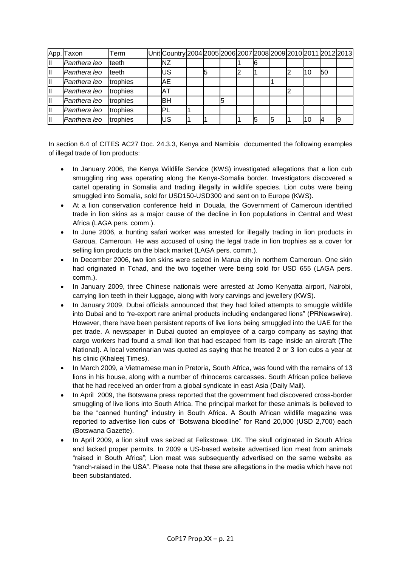|   | App. Taxon   | Term     | Unit Country 2004 2005 2006 2007 2008 2009 2010 2011 2012 2013 |    |   |  |  |    |    |  |
|---|--------------|----------|----------------------------------------------------------------|----|---|--|--|----|----|--|
| Ш | Panthera leo | teeth    | ΝZ                                                             |    |   |  |  |    |    |  |
| Ш | Panthera leo | teeth    | US                                                             | 15 |   |  |  |    | 50 |  |
| Ш | Panthera leo | trophies | AE                                                             |    |   |  |  |    |    |  |
| Ш | Panthera leo | trophies | IΑT                                                            |    |   |  |  |    |    |  |
| Ш | Panthera leo | trophies | lвн                                                            |    | 5 |  |  |    |    |  |
| Ш | Panthera leo | trophies | 'PL                                                            |    |   |  |  |    |    |  |
|   | Panthera leo | trophies | US                                                             |    |   |  |  | 10 |    |  |

In section 6.4 of CITES AC27 Doc. 24.3.3, Kenya and Namibia documented the following examples of illegal trade of lion products:

- In January 2006, the Kenya Wildlife Service (KWS) investigated allegations that a lion cub smuggling ring was operating along the Kenya-Somalia border. Investigators discovered a cartel operating in Somalia and trading illegally in wildlife species. Lion cubs were being smuggled into Somalia, sold for USD150-USD300 and sent on to Europe (KWS).
- At a lion conservation conference held in Douala, the Government of Cameroun identified trade in lion skins as a major cause of the decline in lion populations in Central and West Africa (LAGA pers. comm.).
- In June 2006, a hunting safari worker was arrested for illegally trading in lion products in Garoua, Cameroun. He was accused of using the legal trade in lion trophies as a cover for selling lion products on the black market (LAGA pers. comm.).
- In December 2006, two lion skins were seized in Marua city in northern Cameroun. One skin had originated in Tchad, and the two together were being sold for USD 655 (LAGA pers. comm.).
- In January 2009, three Chinese nationals were arrested at Jomo Kenyatta airport, Nairobi, carrying lion teeth in their luggage, along with ivory carvings and jewellery (KWS).
- In January 2009, Dubai officials announced that they had foiled attempts to smuggle wildlife into Dubai and to "re-export rare animal products including endangered lions" (PRNewswire). However, there have been persistent reports of live lions being smuggled into the UAE for the pet trade. A newspaper in Dubai quoted an employee of a cargo company as saying that cargo workers had found a small lion that had escaped from its cage inside an aircraft (The National). A local veterinarian was quoted as saying that he treated 2 or 3 lion cubs a year at his clinic (Khaleej Times).
- In March 2009, a Vietnamese man in Pretoria, South Africa, was found with the remains of 13 lions in his house, along with a number of rhinoceros carcasses. South African police believe that he had received an order from a global syndicate in east Asia (Daily Mail).
- In April 2009, the Botswana press reported that the government had discovered cross-border smuggling of live lions into South Africa. The principal market for these animals is believed to be the "canned hunting" industry in South Africa. A South African wildlife magazine was reported to advertise lion cubs of "Botswana bloodline" for Rand 20,000 (USD 2,700) each (Botswana Gazette).
- In April 2009, a lion skull was seized at Felixstowe, UK. The skull originated in South Africa and lacked proper permits. In 2009 a US-based website advertised lion meat from animals "raised in South Africa"; Lion meat was subsequently advertised on the same website as "ranch-raised in the USA". Please note that these are allegations in the media which have not been substantiated.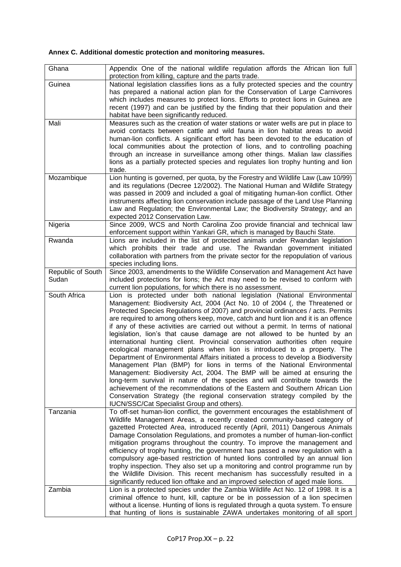# **Annex C. Additional domestic protection and monitoring measures.**

| Ghana                      | Appendix One of the national wildlife regulation affords the African lion full<br>protection from killing, capture and the parts trade.                                                                                                                                                                                                                                                                                                                                                                                                                                                                                                                                                                                                                                                                                                                                                                                                                                                                                                                                                                                                                                                              |
|----------------------------|------------------------------------------------------------------------------------------------------------------------------------------------------------------------------------------------------------------------------------------------------------------------------------------------------------------------------------------------------------------------------------------------------------------------------------------------------------------------------------------------------------------------------------------------------------------------------------------------------------------------------------------------------------------------------------------------------------------------------------------------------------------------------------------------------------------------------------------------------------------------------------------------------------------------------------------------------------------------------------------------------------------------------------------------------------------------------------------------------------------------------------------------------------------------------------------------------|
| Guinea                     | National legislation classifies lions as a fully protected species and the country<br>has prepared a national action plan for the Conservation of Large Carnivores<br>which includes measures to protect lions. Efforts to protect lions in Guinea are<br>recent (1997) and can be justified by the finding that their population and their<br>habitat have been significantly reduced.                                                                                                                                                                                                                                                                                                                                                                                                                                                                                                                                                                                                                                                                                                                                                                                                              |
| Mali                       | Measures such as the creation of water stations or water wells are put in place to<br>avoid contacts between cattle and wild fauna in lion habitat areas to avoid<br>human-lion conflicts. A significant effort has been devoted to the education of<br>local communities about the protection of lions, and to controlling poaching<br>through an increase in surveillance among other things. Malian law classifies<br>lions as a partially protected species and regulates lion trophy hunting and lion<br>trade.                                                                                                                                                                                                                                                                                                                                                                                                                                                                                                                                                                                                                                                                                 |
| Mozambique                 | Lion hunting is governed, per quota, by the Forestry and Wildlife Law (Law 10/99)<br>and its regulations (Decree 12/2002). The National Human and Wildlife Strategy<br>was passed in 2009 and included a goal of mitigating human-lion conflict. Other<br>instruments affecting lion conservation include passage of the Land Use Planning<br>Law and Regulation; the Environmental Law; the Biodiversity Strategy; and an<br>expected 2012 Conservation Law.                                                                                                                                                                                                                                                                                                                                                                                                                                                                                                                                                                                                                                                                                                                                        |
| Nigeria                    | Since 2009, WCS and North Carolina Zoo provide financial and technical law<br>enforcement support within Yankari GR, which is managed by Bauchi State.                                                                                                                                                                                                                                                                                                                                                                                                                                                                                                                                                                                                                                                                                                                                                                                                                                                                                                                                                                                                                                               |
| Rwanda                     | Lions are included in the list of protected animals under Rwandan legislation<br>which prohibits their trade and use. The Rwandan government initiated<br>collaboration with partners from the private sector for the repopulation of various<br>species including lions.                                                                                                                                                                                                                                                                                                                                                                                                                                                                                                                                                                                                                                                                                                                                                                                                                                                                                                                            |
| Republic of South<br>Sudan | Since 2003, amendments to the Wildlife Conservation and Management Act have<br>included protections for lions; the Act may need to be revised to conform with<br>current lion populations, for which there is no assessment.                                                                                                                                                                                                                                                                                                                                                                                                                                                                                                                                                                                                                                                                                                                                                                                                                                                                                                                                                                         |
| South Africa               | Lion is protected under both national legislation (National Environmental<br>Management: Biodiversity Act, 2004 (Act No. 10 of 2004 (, the Threatened or<br>Protected Species Regulations of 2007) and provincial ordinances / acts. Permits<br>are required to among others keep, move, catch and hunt lion and it is an offence<br>if any of these activities are carried out without a permit. In terms of national<br>legislation, lion's that cause damage are not allowed to be hunted by an<br>international hunting client. Provincial conservation authorities often require<br>ecological management plans when lion is introduced to a property. The<br>Department of Environmental Affairs initiated a process to develop a Biodiversity<br>Management Plan (BMP) for lions in terms of the National Environmental<br>Management: Biodiversity Act, 2004. The BMP will be aimed at ensuring the<br>long-term survival in nature of the species and will contribute towards the<br>achievement of the recommendations of the Eastern and Southern African Lion<br>Conservation Strategy (the regional conservation strategy compiled by the<br>IUCN/SSC/Cat Specialist Group and others). |
| Tanzania                   | To off-set human-lion conflict, the government encourages the establishment of<br>Wildlife Management Areas, a recently created community-based category of<br>gazetted Protected Area, introduced recently (April, 2011) Dangerous Animals<br>Damage Consolation Regulations, and promotes a number of human-lion-conflict<br>mitigation programs throughout the country. To improve the management and<br>efficiency of trophy hunting, the government has passed a new regulation with a<br>compulsory age-based restriction of hunted lions controlled by an annual lion<br>trophy inspection. They also set up a monitoring and control programme run by<br>the Wildlife Division. This recent mechanism has successfully resulted in a<br>significantly reduced lion offtake and an improved selection of aged male lions.                                                                                                                                                                                                                                                                                                                                                                     |
| Zambia                     | Lion is a protected species under the Zambia Wildlife Act No. 12 of 1998. It is a<br>criminal offence to hunt, kill, capture or be in possession of a lion specimen<br>without a license. Hunting of lions is regulated through a quota system. To ensure<br>that hunting of lions is sustainable ZAWA undertakes monitoring of all sport                                                                                                                                                                                                                                                                                                                                                                                                                                                                                                                                                                                                                                                                                                                                                                                                                                                            |